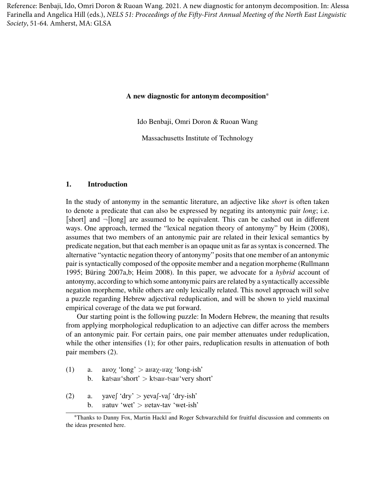Reference: Benbaji, Ido, Omri Doron & Ruoan Wang. 2021. A new diagnostic for antonym decomposition. In: Alessa Farinella and Angelica Hill (eds.), *NELS 51: Proceedings of the Fifty-First Annual Meeting of the North East Linguistic Society*, 51-64. Amherst, MA: GLSA

### **A new diagnostic for antonym decomposition**<sup>∗</sup>

Ido Benbaji, Omri Doron & Ruoan Wang

Massachusetts Institute of Technology

#### **1. Introduction**

In the study of antonymy in the semantic literature, an adjective like *short* is often taken to denote a predicate that can also be expressed by negating its antonymic pair *long*; i.e.  $\llbracket$ short $\llbracket$  and  $\neg$  $\llbracket$ long $\llbracket$  are assumed to be equivalent. This can be cashed out in different ways. One approach, termed the "lexical negation theory of antonymy" by Heim (2008), assumes that two members of an antonymic pair are related in their lexical semantics by predicate negation, but that each member is an opaque unit as far as syntax is concerned. The alternative "syntactic negation theory of antonymy" posits that one member of an antonymic pair is syntactically composed of the opposite member and a negation morpheme (Rullmann 1995; Büring 2007a,b; Heim 2008). In this paper, we advocate for a *hybrid* account of antonymy, according to which some antonymic pairs are related by a syntactically accessible negation morpheme, while others are only lexically related. This novel approach will solve a puzzle regarding Hebrew adjectival reduplication, and will be shown to yield maximal empirical coverage of the data we put forward.

Our starting point is the following puzzle: In Modern Hebrew, the meaning that results from applying morphological reduplication to an adjective can differ across the members of an antonymic pair. For certain pairs, one pair member attenuates under reduplication, while the other intensifies (1); for other pairs, reduplication results in attenuation of both pair members (2).

- (1) a. a  $\text{div}\chi$  'long'  $>$  a  $\text{div}\chi$  'long-ish' b. katsas'short' > ktsas-tsas'very short'
- $(2)$  a. yaves 'dry' > yevas vas 'dry-ish' b.  $B^*$  Example  $x^*$   $>$   $B^*$   $B^*$   $B^*$   $B^*$

<sup>∗</sup>Thanks to Danny Fox, Martin Hackl and Roger Schwarzchild for fruitful discussion and comments on the ideas presented here.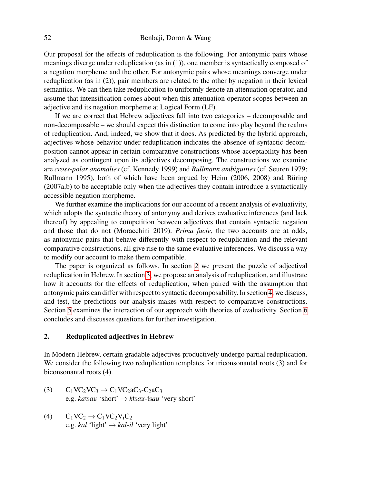Our proposal for the effects of reduplication is the following. For antonymic pairs whose meanings diverge under reduplication (as in (1)), one member is syntactically composed of a negation morpheme and the other. For antonymic pairs whose meanings converge under reduplication (as in (2)), pair members are related to the other by negation in their lexical semantics. We can then take reduplication to uniformly denote an attenuation operator, and assume that intensification comes about when this attenuation operator scopes between an adjective and its negation morpheme at Logical Form (LF).

If we are correct that Hebrew adjectives fall into two categories – decomposable and non-decomposable – we should expect this distinction to come into play beyond the realms of reduplication. And, indeed, we show that it does. As predicted by the hybrid approach, adjectives whose behavior under reduplication indicates the absence of syntactic decomposition cannot appear in certain comparative constructions whose acceptability has been analyzed as contingent upon its adjectives decomposing. The constructions we examine are *cross-polar anomalies* (cf. Kennedy 1999) and *Rullmann ambiguities* (cf. Seuren 1979; Rullmann 1995), both of which have been argued by Heim (2006, 2008) and Büring (2007a,b) to be acceptable only when the adjectives they contain introduce a syntactically accessible negation morpheme.

We further examine the implications for our account of a recent analysis of evaluativity, which adopts the syntactic theory of antonymy and derives evaluative inferences (and lack thereof) by appealing to competition between adjectives that contain syntactic negation and those that do not (Moracchini 2019). *Prima facie*, the two accounts are at odds, as antonymic pairs that behave differently with respect to reduplication and the relevant comparative constructions, all give rise to the same evaluative inferences. We discuss a way to modify our account to make them compatible.

The paper is organized as follows. In section [2](#page-1-0) we present the puzzle of adjectival reduplication in Hebrew. In section [3,](#page-3-0) we propose an analysis of reduplication, and illustrate how it accounts for the effects of reduplication, when paired with the assumption that antonymic pairs can differ with respect to syntactic decomposability. In section [4,](#page-5-0) we discuss, and test, the predictions our analysis makes with respect to comparative constructions. Section [5](#page-10-0) examines the interaction of our approach with theories of evaluativity. Section [6](#page-11-0) concludes and discusses questions for further investigation.

### <span id="page-1-0"></span>**2. Reduplicated adjectives in Hebrew**

In Modern Hebrew, certain gradable adjectives productively undergo partial reduplication. We consider the following two reduplication templates for triconsonantal roots (3) and for biconsonantal roots (4).

- (3)  $C_1VC_2VC_3 \rightarrow C_1VC_2aC_3-C_2aC_3$ e.g. *ka*ţ*a*K 'short' → *k*ţ*a*K*-*ţ*a*K 'very short'
- (4)  $C_1VC_2 \rightarrow C_1VC_2V_1C_2$ e.g. *kal* 'light'  $\rightarrow$  *kal-il* 'very light'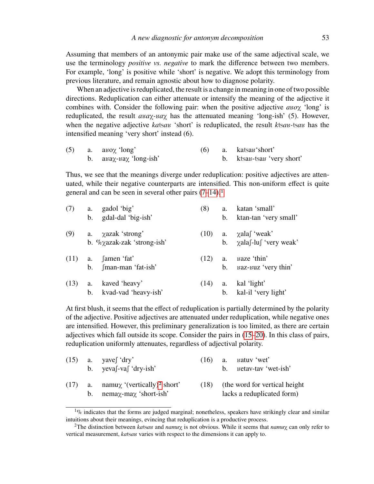Assuming that members of an antonymic pair make use of the same adjectival scale, we use the terminology *positive vs. negative* to mark the difference between two members. For example, 'long' is positive while 'short' is negative. We adopt this terminology from previous literature, and remain agnostic about how to diagnose polarity.

When an adjective is reduplicated, the result is a change in meaning in one of two possible directions. Reduplication can either attenuate or intensify the meaning of the adjective it combines with. Consider the following pair: when the positive adjective  $a\omega\chi$  'long' is reduplicated, the result  $a\alpha\chi$ - $\alpha\alpha$  has the attenuated meaning 'long-ish' (5). However, when the negative adjective katsas 'short' is reduplicated, the result ktsas-tsas has the intensified meaning 'very short' instead (6).

<span id="page-2-5"></span>

|  | $(5)$ a. a $\alpha$ 'long'                           |  | $(6)$ a. katsan'short'     |
|--|------------------------------------------------------|--|----------------------------|
|  | b. $a\mu\alpha\gamma$ - $\mu\alpha\gamma$ 'long-ish' |  | b. ktsau-tsau 'very short' |

<span id="page-2-6"></span>Thus, we see that the meanings diverge under reduplication: positive adjectives are attenuated, while their negative counterparts are intensified. This non-uniform effect is quite general and can be seen in several other pairs [\(7](#page-2-0)[–14\)](#page-2-1).[1](#page-2-2)

<span id="page-2-0"></span>

| (7)  | a. | gadol 'big'                                | (8)  | a.             | katan 'small'                   |
|------|----|--------------------------------------------|------|----------------|---------------------------------|
|      |    | b. gdal-dal 'big-ish'                      |      | $b_{1}$        | ktan-tan 'very small'           |
| (9)  |    | a. $\chi$ azak 'strong'                    | (10) |                | a. $\chi$ alas 'weak'           |
|      |    | b. $\%$ <sub>2</sub> azak-zak 'strong-ish' |      |                | b. $\chi$ alas-lust 'very weak' |
| (11) |    | a. famen 'fat'                             | (12) | a.             | ва <i>z</i> е 'thin'            |
|      |    | b. fman-man 'fat-ish'                      |      | $\mathbf{b}$ . | ваz-виz 'very thin'             |
| (13) | а. | kaved 'heavy'                              | (14) | а.             | kal 'light'                     |
|      | b. | kvad-vad 'heavy-ish'                       |      | $b_{1}$        | kal-il 'very light'             |

<span id="page-2-1"></span>At first blush, it seems that the effect of reduplication is partially determined by the polarity of the adjective. Positive adjectives are attenuated under reduplication, while negative ones are intensified. However, this preliminary generalization is too limited, as there are certain adjectives which fall outside its scope. Consider the pairs in [\(15–](#page-2-3)[20\)](#page-3-1). In this class of pairs, reduplication uniformly attenuates, regardless of adjectival polarity.

<span id="page-2-7"></span><span id="page-2-3"></span>

|  | $(15)$ a. yave $\int dry'$<br>b. $yeva[-va[ 'dry-ish' ]$                                   | (16) | $h_{\perp}$ | a. satuv wet'<br>Betav-tav 'wet-ish'                         |
|--|--------------------------------------------------------------------------------------------|------|-------------|--------------------------------------------------------------|
|  | $(17)$ a. namux '(vertically) <sup>2</sup> short'<br>b. nema $\chi$ -ma $\chi$ 'short-ish' | (18) |             | (the word for vertical height)<br>lacks a reduplicated form) |

<span id="page-2-2"></span> $1\%$  indicates that the forms are judged marginal; nonetheless, speakers have strikingly clear and similar intuitions about their meanings, evincing that reduplication is a productive process.

<span id="page-2-4"></span><sup>&</sup>lt;sup>2</sup>The distinction between *ka*tsau and *namu*<sub>X</sub> is not obvious. While it seems that *namu*<sub>X</sub> can only refer to vertical measurement, *ka*tsau varies with respect to the dimensions it can apply to.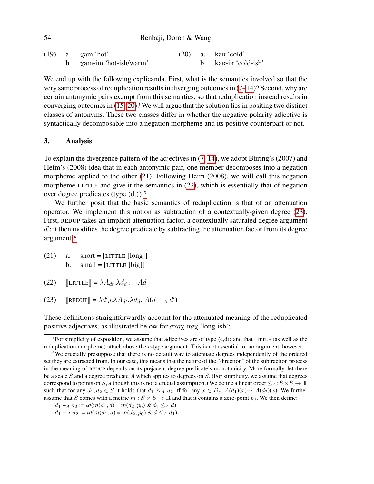| 54 | Benbaji, Doron & Wang |  |  |
|----|-----------------------|--|--|
|    |                       |  |  |

|  | (19) a. $\chi$ am 'hot'        |  | $(20)$ a. ka <sub>B</sub> 'cold'              |
|--|--------------------------------|--|-----------------------------------------------|
|  | b. $\chi$ am-im 'hot-ish/warm' |  | b. ka <sub>B</sub> -i <sub>B</sub> 'cold-ish' |

<span id="page-3-1"></span>We end up with the following explicanda. First, what is the semantics involved so that the very same process of reduplication results in diverging outcomes in [\(7](#page-2-0)[–14\)](#page-2-1)? Second, why are certain antonymic pairs exempt from this semantics, so that reduplication instead results in converging outcomes in [\(15–](#page-2-3)[20\)](#page-3-1)? We will argue that the solution lies in positing two distinct classes of antonyms. These two classes differ in whether the negative polarity adjective is syntactically decomposable into a negation morpheme and its positive counterpart or not.

# <span id="page-3-0"></span>**3. Analysis**

To explain the divergence pattern of the adjectives in [\(7](#page-2-0)[–14\)](#page-2-1), we adopt Büring's (2007) and Heim's (2008) idea that in each antonymic pair, one member decomposes into a negation morpheme applied to the other [\(21\)](#page-3-2). Following Heim (2008), we will call this negation morpheme LITTLE and give it the semantics in  $(22)$ , which is essentially that of negation over degree predicates (type  $\langle dt \rangle$ ).<sup>[3](#page-3-4)</sup>

We further posit that the basic semantics of reduplication is that of an attenuation operator. We implement this notion as subtraction of a contextually-given degree [\(23\)](#page-3-5). First, REDUP takes an implicit attenuation factor, a contextually saturated degree argument  $d'$ ; it then modifies the degree predicate by subtracting the attenuation factor from its degree argument.[4](#page-3-6)

- <span id="page-3-2"></span> $(21)$  a. short = [LITTLE [long]] b.  $small = [LITILE [big]]$
- <span id="page-3-3"></span> $(22)$   $[\text{LITILE}] = \lambda A_{dt} \cdot \lambda d_d \cdot \neg Ad$
- <span id="page-3-5"></span>(23)  $\left[\text{REDUP}\right] = \lambda d'_{d} \cdot \lambda A_{dt} \cdot \lambda d_{d} \cdot A(d - A d')$

These definitions straightforwardly account for the attenuated meaning of the reduplicated positive adjectives, as illustrated below for  $a\alpha\alpha\gamma$ - $\alpha\alpha\chi$  'long-ish':

 $d_1 + A d_2 := \iota d(m(d_1, d) = m(d_2, p_0) \& d_1 \leq_A d$ )

<span id="page-3-4"></span><sup>&</sup>lt;sup>3</sup>For simplicity of exposition, we assume that adjectives are of type  $\langle e, dt \rangle$  and that LITTLE (as well as the reduplication morpheme) attach above the *e*-type argument. This is not essential to our argument, however.

<span id="page-3-6"></span><sup>4</sup>We crucially presuppose that there is no default way to attenuate degrees independently of the ordered set they are extracted from. In our case, this means that the nature of the "direction" of the subtraction process in the meaning of REDUP depends on its prejacent degree predicate's monotonicity. More formally, let there be a scale *S* and a degree predicate *A* which applies to degrees on *S*. (For simplicity, we assume that degrees correspond to points on *S*, although this is not a crucial assumption.) We define a linear order  $\leq_A : S \times S \to \mathbb{T}$ such that for any  $d_1, d_2 \in S$  it holds that  $d_1 \leq_A d_2$  iff for any  $x \in D_e$ ,  $A(d_1)(x) \to A(d_2)(x)$ . We further assume that *S* comes with a metric  $m : S \times S \to \mathbb{R}$  and that it contains a zero-point  $p_0$ . We then define:

 $d_1 - A d_2 := \iota d(m(d_1, d) = m(d_2, p_0) \& d \leq_A d_1)$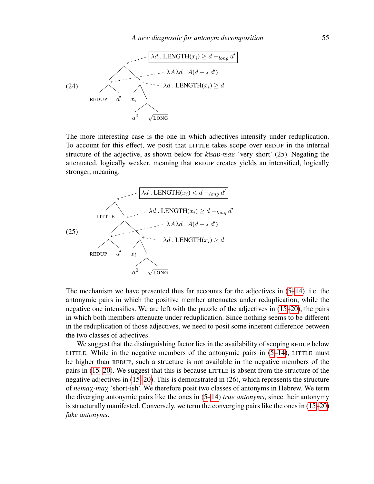

The more interesting case is the one in which adjectives intensify under reduplication. To account for this effect, we posit that LITTLE takes scope over REDUP in the internal structure of the adjective, as shown below for *k*tsau-tsau 'very short' (25). Negating the attenuated, logically weaker, meaning that REDUP creates yields an intensified, logically stronger, meaning.



The mechanism we have presented thus far accounts for the adjectives in [\(5](#page-2-5)[–14\)](#page-2-1), i.e. the antonymic pairs in which the positive member attenuates under reduplication, while the negative one intensifies. We are left with the puzzle of the adjectives in [\(15–](#page-2-3)[20\)](#page-3-1), the pairs in which both members attenuate under reduplication. Since nothing seems to be different in the reduplication of those adjectives, we need to posit some inherent difference between the two classes of adjectives.

We suggest that the distinguishing factor lies in the availability of scoping REDUP below LITTLE. While in the negative members of the antonymic pairs in  $(5-14)$  $(5-14)$ , LITTLE must be higher than REDUP, such a structure is not available in the negative members of the pairs in  $(15–20)$  $(15–20)$ . We suggest that this is because LITTLE is absent from the structure of the negative adjectives in [\(15–](#page-2-3)[20\)](#page-3-1). This is demonstrated in (26), which represents the structure of *nema*<sub>Y</sub>*-ma*<sub>Y</sub> 'short-ish'. We therefore posit two classes of antonyms in Hebrew. We term the diverging antonymic pairs like the ones in [\(5–](#page-2-5)[14\)](#page-2-1) *true antonyms*, since their antonymy is structurally manifested. Conversely, we term the converging pairs like the ones in [\(15](#page-2-3)[–20\)](#page-3-1) *fake antonyms*.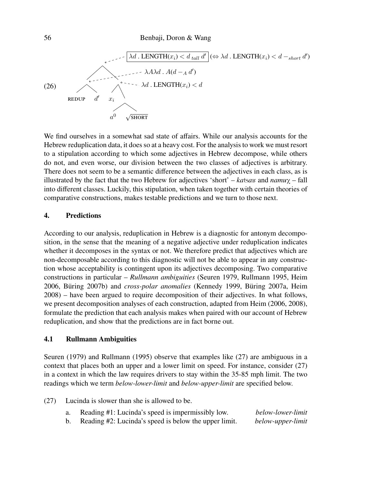

We find ourselves in a somewhat sad state of affairs. While our analysis accounts for the Hebrew reduplication data, it does so at a heavy cost. For the analysis to work we must resort to a stipulation according to which some adjectives in Hebrew decompose, while others do not, and even worse, our division between the two classes of adjectives is arbitrary. There does not seem to be a semantic difference between the adjectives in each class, as is illustrated by the fact that the two Hebrew for adjectives 'short' –  $katsaw$  and  $namu\chi$  – fall into different classes. Luckily, this stipulation, when taken together with certain theories of comparative constructions, makes testable predictions and we turn to those next.

# <span id="page-5-0"></span>**4. Predictions**

According to our analysis, reduplication in Hebrew is a diagnostic for antonym decomposition, in the sense that the meaning of a negative adjective under reduplication indicates whether it decomposes in the syntax or not. We therefore predict that adjectives which are non-decomposable according to this diagnostic will not be able to appear in any construction whose acceptability is contingent upon its adjectives decomposing. Two comparative constructions in particular – *Rullmann ambiguities* (Seuren 1979, Rullmann 1995, Heim 2006, Büring 2007b) and *cross-polar anomalies* (Kennedy 1999, Büring 2007a, Heim 2008) – have been argued to require decomposition of their adjectives. In what follows, we present decomposition analyses of each construction, adapted from Heim (2006, 2008), formulate the prediction that each analysis makes when paired with our account of Hebrew reduplication, and show that the predictions are in fact borne out.

### **4.1 Rullmann Ambiguities**

Seuren (1979) and Rullmann (1995) observe that examples like (27) are ambiguous in a context that places both an upper and a lower limit on speed. For instance, consider (27) in a context in which the law requires drivers to stay within the 35-85 mph limit. The two readings which we term *below-lower-limit* and *below-upper-limit* are specified below.

- <span id="page-5-1"></span>(27) Lucinda is slower than she is allowed to be.
	- a. Reading #1: Lucinda's speed is impermissibly low. *below-lower-limit*
	- b. Reading #2: Lucinda's speed is below the upper limit. *below-upper-limit*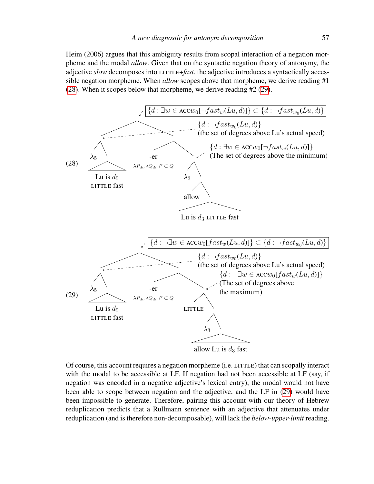Heim (2006) argues that this ambiguity results from scopal interaction of a negation morpheme and the modal *allow*. Given that on the syntactic negation theory of antonymy, the adjective *slow* decomposes into LITTLE+*fast*, the adjective introduces a syntactically accessible negation morpheme. When *allow* scopes above that morpheme, we derive reading #1 [\(28\)](#page-6-0). When it scopes below that morpheme, we derive reading #2 [\(29\)](#page-6-1).

<span id="page-6-0"></span>

<span id="page-6-1"></span>Of course, this account requires a negation morpheme (i.e. LITTLE) that can scopally interact with the modal to be accessible at LF. If negation had not been accessible at LF (say, if negation was encoded in a negative adjective's lexical entry), the modal would not have been able to scope between negation and the adjective, and the LF in [\(29\)](#page-6-1) would have been impossible to generate. Therefore, pairing this account with our theory of Hebrew reduplication predicts that a Rullmann sentence with an adjective that attenuates under reduplication (and is therefore non-decomposable), will lack the *below-upper-limit* reading.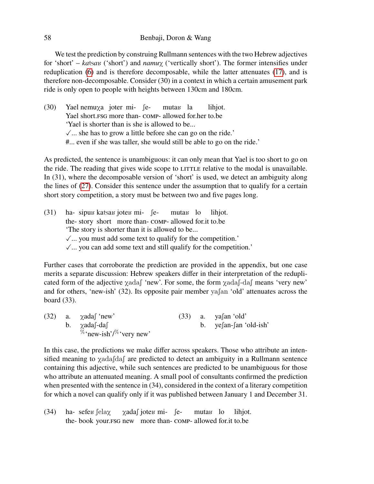We test the prediction by construing Rullmann sentences with the two Hebrew adjectives for 'short' – *ka*tsa<sub>K</sub> ('short') and *namu*<sub>X</sub> ('vertically short'). The former intensifies under reduplication [\(6\)](#page-2-6) and is therefore decomposable, while the latter attenuates [\(17\)](#page-2-7), and is therefore non-decomposable. Consider (30) in a context in which a certain amusement park ride is only open to people with heights between 130cm and 180cm.

(30) Yael nemu<sub>X</sub>a joter mi-  $\int e^{-x}$ Yael short.fsg more than-comp-allowed for.her to.be muta<mark>k</mark> la lihjot. 'Yael is shorter than is she is allowed to be...  $\sqrt{\ }$ ... she has to grow a little before she can go on the ride.' #... even if she was taller, she would still be able to go on the ride.'

As predicted, the sentence is unambiguous: it can only mean that Yael is too short to go on the ride. The reading that gives wide scope to LITTLE relative to the modal is unavailable. In (31), where the decomposable version of 'short' is used, we detect an ambiguity along the lines of [\(27\)](#page-5-1). Consider this sentence under the assumption that to qualify for a certain short story competition, a story must be between two and five pages long.

 $(31)$ the-story short more than-comp-allowed for.it to.be sipuu katsau joteu mi- femuta<sub>B</sub> lo lihjot. 'The story is shorter than it is allowed to be...  $\sqrt{ }$ ... you must add some text to qualify for the competition.'  $\sqrt{ }$ ... you can add some text and still qualify for the competition.'

Further cases that corroborate the prediction are provided in the appendix, but one case merits a separate discussion: Hebrew speakers differ in their interpretation of the reduplicated form of the adjective  $\chi$ adas 'new'. For some, the form  $\chi$ adas -das 'very new' and for others, 'new-ish'  $(32)$ . Its opposite pair member ya $\int$ an 'old' attenuates across the board (33).

(32) a.  $\chi$ adas 'new' b.  $\chi$ adas-das  $\%$  'new-ish'/ $\%$  'very new'  $(33)$  a. yafan 'old' b. yefan-fan 'old-ish'

In this case, the predictions we make differ across speakers. Those who attribute an intensified meaning to  $\chi$ adas das are predicted to detect an ambiguity in a Rullmann sentence containing this adjective, while such sentences are predicted to be unambiguous for those who attribute an attenuated meaning. A small pool of consultants confirmed the prediction when presented with the sentence in (34), considered in the context of a literary competition for which a novel can qualify only if it was published between January 1 and December 31.

(34) 
$$
ha
$$
- $sefex$   $\lceil \text{elay} \rceil$   $\chi$   $\text{add} \rceil$   $\text{jotex}$   $mi$ - $\lceil \text{e} \rceil$   $\text{mutax}$   $\lceil \text{to} \rceil$   $\text{lin}\rceil$   $\text{the}$ - $\text{book}$  your.FSG new more than- $\text{COMP-} \rceil$  allowed for it to be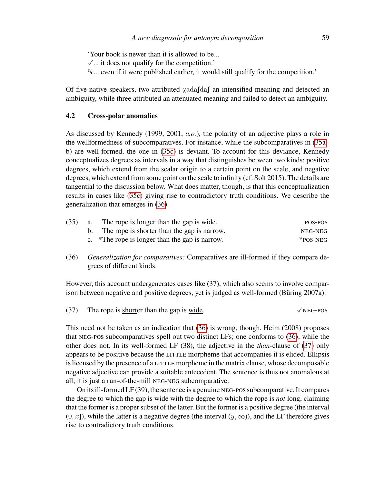'Your book is newer than it is allowed to be...

- $\sqrt{\ldots}$  it does not qualify for the competition.'
- $\%$ ... even if it were published earlier, it would still qualify for the competition.'

Of five native speakers, two attributed  $\chi$ adasdas an intensified meaning and detected an ambiguity, while three attributed an attenuated meaning and failed to detect an ambiguity.

# **4.2 Cross-polar anomalies**

As discussed by Kennedy (1999, 2001, *a.o.*), the polarity of an adjective plays a role in the wellformedness of subcomparatives. For instance, while the subcomparatives in [\(35a–](#page-8-0) b) are well-formed, the one in [\(35c\)](#page-8-1) is deviant. To account for this deviance, Kennedy conceptualizes degrees as intervals in a way that distinguishes between two kinds: positive degrees, which extend from the scalar origin to a certain point on the scale, and negative degrees, which extend from some point on the scale to infinity (cf. Solt 2015). The details are tangential to the discussion below. What does matter, though, is that this conceptualization results in cases like [\(35c\)](#page-8-1) giving rise to contradictory truth conditions. We describe the generalization that emerges in [\(36\)](#page-8-2).

<span id="page-8-1"></span><span id="page-8-0"></span>

| (35) | a. The rope is <u>longer</u> than the gap is <u>wide</u> .    | POS-POS     |
|------|---------------------------------------------------------------|-------------|
|      | b. The rope is shorter than the gap is narrow.                | NEG-NEG     |
|      | c. *The rope is <u>longer</u> than the gap is <u>narrow</u> . | $*$ POS-NEG |

<span id="page-8-2"></span>(36) *Generalization for comparatives:* Comparatives are ill-formed if they compare degrees of different kinds.

However, this account undergenerates cases like (37), which also seems to involve comparison between negative and positive degrees, yet is judged as well-formed (Büring 2007a).

<span id="page-8-3"></span>(37) The rope is shorter than the gap is wide.  $\sqrt{\text{NEG-POS}}$ 

This need not be taken as an indication that [\(36\)](#page-8-2) is wrong, though. Heim (2008) proposes that neg-pos subcomparatives spell out two distinct LFs; one conforms to [\(36\)](#page-8-2), while the other does not. In its well-formed LF (38), the adjective in the *than*-clause of [\(37\)](#page-8-3) only appears to be positive because the LITTLE morpheme that accompanies it is elided. Ellipsis is licensed by the presence of a LITTLE morpheme in the matrix clause, whose decomposable negative adjective can provide a suitable antecedent. The sentence is thus not anomalous at all; it is just a run-of-the-mill neg-neg subcomparative.

On its ill-formed LF (39), the sentence is a genuine neg-possubcomparative. It compares the degree to which the gap is wide with the degree to which the rope is *not* long, claiming that the former is a proper subset of the latter. But the former is a positive degree (the interval  $(0, x]$ ), while the latter is a negative degree (the interval  $(y, \infty)$ ), and the LF therefore gives rise to contradictory truth conditions.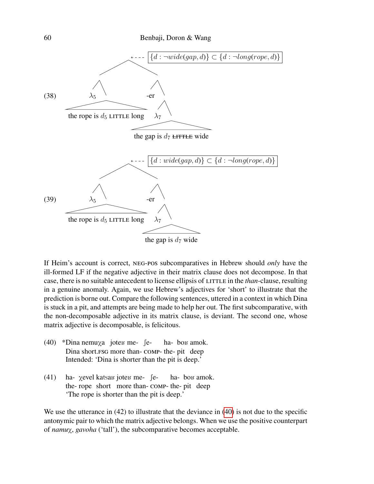

If Heim's account is correct, neg-pos subcomparatives in Hebrew should *only* have the ill-formed LF if the negative adjective in their matrix clause does not decompose. In that case, there is no suitable antecedent to license ellipsis of LITTLE in the *than*-clause, resulting in a genuine anomaly. Again, we use Hebrew's adjectives for 'short' to illustrate that the prediction is borne out. Compare the following sentences, uttered in a context in which Dina is stuck in a pit, and attempts are being made to help her out. The first subcomparative, with the non-decomposable adjective in its matrix clause, is deviant. The second one, whose matrix adjective is decomposable, is felicitous.

- <span id="page-9-0"></span>(40) \*Dina nemu<sub>Xa</sub> jotes me- fe-Dina short. FSG more than- COMP- the- pit deep ha- bo<sub>b</sub> amok. Intended: 'Dina is shorter than the pit is deep.'
- $(41)$ the-rope short more than-comp-the-pit deep xevel katsau joteu me- feha- bo<sub>b</sub> amok. 'The rope is shorter than the pit is deep.'

We use the utterance in (42) to illustrate that the deviance in [\(40\)](#page-9-0) is not due to the specific antonymic pair to which the matrix adjective belongs. When we use the positive counterpart of *namu*X, *gavoha* ('tall'), the subcomparative becomes acceptable.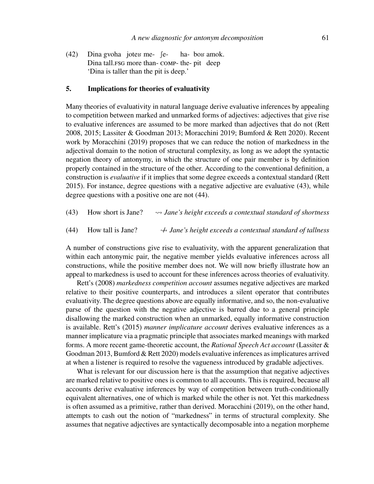$(42)$ Dina tall.fsg more than-comp-the-pit deep gvoha joteu me- feha- bo<sub>b</sub> amok. 'Dina is taller than the pit is deep.'

#### <span id="page-10-0"></span>**5. Implications for theories of evaluativity**

Many theories of evaluativity in natural language derive evaluative inferences by appealing to competition between marked and unmarked forms of adjectives: adjectives that give rise to evaluative inferences are assumed to be more marked than adjectives that do not (Rett 2008, 2015; Lassiter & Goodman 2013; Moracchini 2019; Bumford & Rett 2020). Recent work by Moracchini (2019) proposes that we can reduce the notion of markedness in the adjectival domain to the notion of structural complexity, as long as we adopt the syntactic negation theory of antonymy, in which the structure of one pair member is by definition properly contained in the structure of the other. According to the conventional definition, a construction is *evaluative* if it implies that some degree exceeds a contextual standard (Rett 2015). For instance, degree questions with a negative adjective are evaluative (43), while degree questions with a positive one are not (44).

- <span id="page-10-1"></span>(43) How short is Jane? *Jane's height exceeds a contextual standard of shortness*
- <span id="page-10-2"></span>(44) How tall is Jane? / *Jane's height exceeds a contextual standard of tallness*

A number of constructions give rise to evaluativity, with the apparent generalization that within each antonymic pair, the negative member yields evaluative inferences across all constructions, while the positive member does not. We will now briefly illustrate how an appeal to markedness is used to account for these inferences across theories of evaluativity.

Rett's (2008) *markedness competition account* assumes negative adjectives are marked relative to their positive counterparts, and introduces a silent operator that contributes evaluativity. The degree questions above are equally informative, and so, the non-evaluative parse of the question with the negative adjective is barred due to a general principle disallowing the marked construction when an unmarked, equally informative construction is available. Rett's (2015) *manner implicature account* derives evaluative inferences as a manner implicature via a pragmatic principle that associates marked meanings with marked forms. A more recent game-theoretic account, the *Rational Speech Act account* (Lassiter & Goodman 2013, Bumford & Rett 2020) models evaluative inferences as implicatures arrived at when a listener is required to resolve the vagueness introduced by gradable adjectives.

What is relevant for our discussion here is that the assumption that negative adjectives are marked relative to positive ones is common to all accounts. This is required, because all accounts derive evaluative inferences by way of competition between truth-conditionally equivalent alternatives, one of which is marked while the other is not. Yet this markedness is often assumed as a primitive, rather than derived. Moracchini (2019), on the other hand, attempts to cash out the notion of "markedness" in terms of structural complexity. She assumes that negative adjectives are syntactically decomposable into a negation morpheme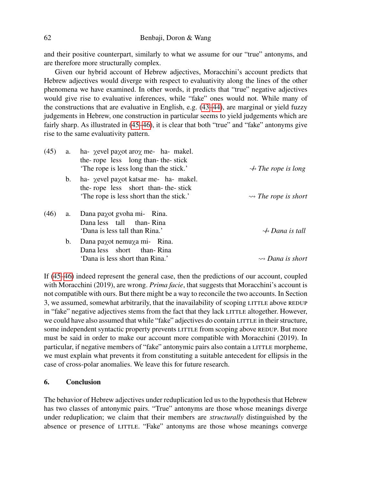and their positive counterpart, similarly to what we assume for our "true" antonyms, and are therefore more structurally complex.

Given our hybrid account of Hebrew adjectives, Moracchini's account predicts that Hebrew adjectives would diverge with respect to evaluativity along the lines of the other phenomena we have examined. In other words, it predicts that "true" negative adjectives would give rise to evaluative inferences, while "fake" ones would not. While many of the constructions that are evaluative in English, e.g. [\(43–](#page-10-1)[44\)](#page-10-2), are marginal or yield fuzzy judgements in Hebrew, one construction in particular seems to yield judgements which are fairly sharp. As illustrated in [\(45–](#page-11-1)[46\)](#page-11-2), it is clear that both "true" and "fake" antonyms give rise to the same evaluativity pattern.

<span id="page-11-2"></span><span id="page-11-1"></span>

| (45) | a.          | ha- $\chi$ evel pa $\chi$ ot aro $\chi$ me- ha- makel.<br>the-rope less long than-the-stick<br>The rope is less long than the stick.' | $\leftrightarrow$ The rope is long   |
|------|-------------|---------------------------------------------------------------------------------------------------------------------------------------|--------------------------------------|
|      | $b_{1}$     | ha- χevel paχot katsar me- ha- makel.<br>the-rope less short than-the-stick<br>The rope is less short than the stick.'                | $\rightsquigarrow$ The rope is short |
| (46) | a.          | Dana paχot gvoha mi- Rina.<br>Dana less tall than-Rina<br>'Dana is less tall than Rina.'                                              | $\leftrightarrow$ Dana is tall       |
|      | $b_{\cdot}$ | Dana paχot nemu χa mi- Rina.<br>Dana less short than-Rina<br>'Dana is less short than Rina.'                                          | $\rightsquigarrow$ Dana is short     |

If [\(45](#page-11-1)[–46\)](#page-11-2) indeed represent the general case, then the predictions of our account, coupled with Moracchini (2019), are wrong. *Prima facie*, that suggests that Moracchini's account is not compatible with ours. But there might be a way to reconcile the two accounts. In Section 3, we assumed, somewhat arbitrarily, that the inavailability of scoping LITTLE above REDUP in "fake" negative adjectives stems from the fact that they lack LITTLE altogether. However, we could have also assumed that while "fake" adjectives do contain LITTLE in their structure, some independent syntactic property prevents LITTLE from scoping above REDUP. But more must be said in order to make our account more compatible with Moracchini (2019). In particular, if negative members of "fake" antonymic pairs also contain a LITTLE morpheme, we must explain what prevents it from constituting a suitable antecedent for ellipsis in the case of cross-polar anomalies. We leave this for future research.

## <span id="page-11-0"></span>**6. Conclusion**

The behavior of Hebrew adjectives under reduplication led us to the hypothesis that Hebrew has two classes of antonymic pairs. "True" antonyms are those whose meanings diverge under reduplication; we claim that their members are *structurally* distinguished by the absence or presence of LITTLE. "Fake" antonyms are those whose meanings converge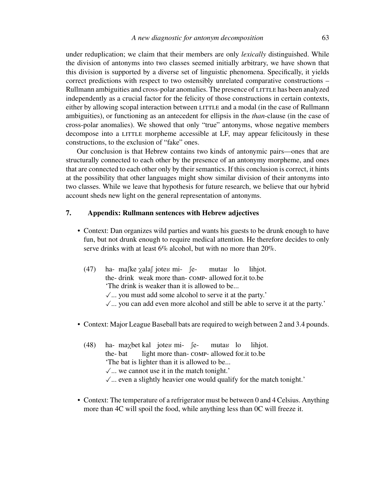under reduplication; we claim that their members are only *lexically* distinguished. While the division of antonyms into two classes seemed initially arbitrary, we have shown that this division is supported by a diverse set of linguistic phenomena. Specifically, it yields correct predictions with respect to two ostensibly unrelated comparative constructions – Rullmann ambiguities and cross-polar anomalies. The presence of LITTLE has been analyzed independently as a crucial factor for the felicity of those constructions in certain contexts, either by allowing scopal interaction between LITTLE and a modal (in the case of Rullmann ambiguities), or functioning as an antecedent for ellipsis in the *than*-clause (in the case of cross-polar anomalies). We showed that only "true" antonyms, whose negative members decompose into a LITTLE morpheme accessible at LF, may appear felicitously in these constructions, to the exclusion of "fake" ones.

Our conclusion is that Hebrew contains two kinds of antonymic pairs—ones that are structurally connected to each other by the presence of an antonymy morpheme, and ones that are connected to each other only by their semantics. If this conclusion is correct, it hints at the possibility that other languages might show similar division of their antonyms into two classes. While we leave that hypothesis for future research, we believe that our hybrid account sheds new light on the general representation of antonyms.

# **7. Appendix: Rullmann sentences with Hebrew adjectives**

- Context: Dan organizes wild parties and wants his guests to be drunk enough to have fun, but not drunk enough to require medical attention. He therefore decides to only serve drinks with at least 6% alcohol, but with no more than 20%.
	- $(47)$ the-drink weak more than-comp-allowed for.it to.be maske <sub>X</sub>alas joter mi- semuta<sub>B</sub> lo lihjot. 'The drink is weaker than it is allowed to be...  $\sqrt{ }$ ... you must add some alcohol to serve it at the party.'  $\sqrt{ }$ ... you can add even more alcohol and still be able to serve it at the party.'
- Context: Major League Baseball bats are required to weigh between 2 and 3.4 pounds.
	- $(48)$ the-bat  $max$ bet kal joten mi- felight more than-comp-allowed for.it to.be muta<sub>B</sub> lo lihjot. 'The bat is lighter than it is allowed to be...  $\sqrt{ }$ ... we cannot use it in the match tonight.'  $\sqrt{\ldots}$  even a slightly heavier one would qualify for the match tonight.'
- Context: The temperature of a refrigerator must be between 0 and 4 Celsius. Anything more than 4C will spoil the food, while anything less than 0C will freeze it.